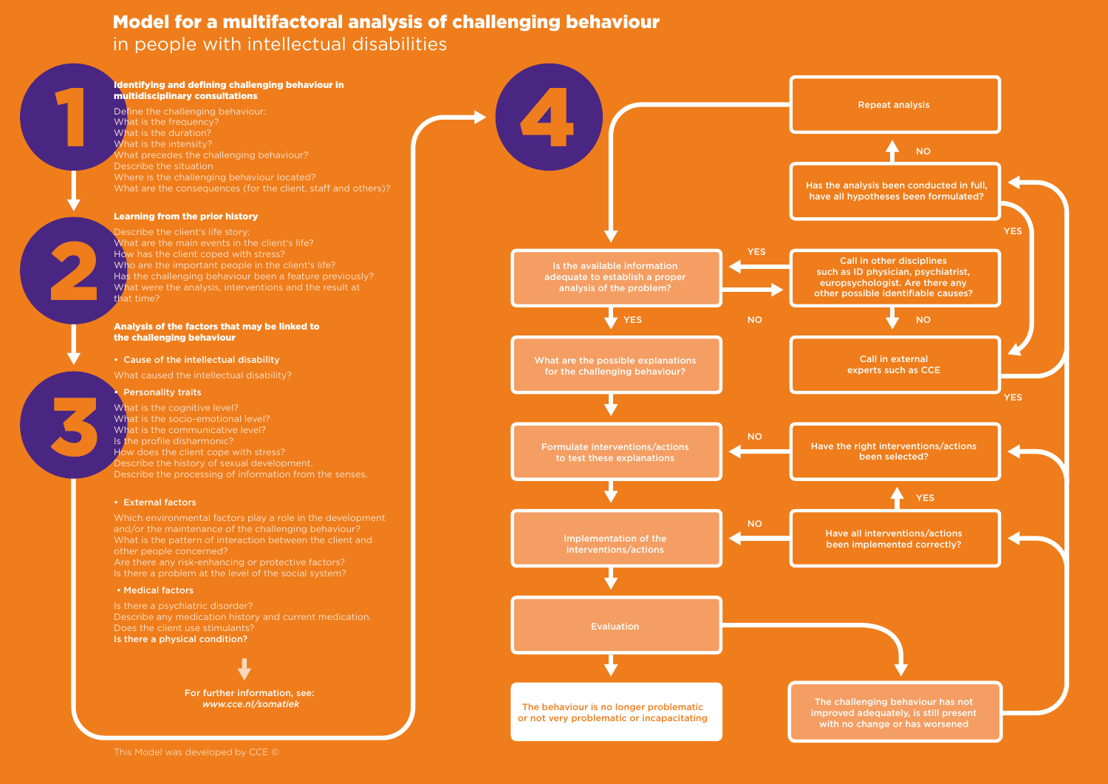#### Identifying and defining challenging behaviour in multidisciplinary consultations

Define the challenging behaviour: What is the frequency? What is the duration? What is the intensity? What precedes the challenging behaviour? Describe the situation Where is the challenging behaviour located? What are the consequences (for the client, staff and others)?

Describe the client's life story: What are the main events in the client's life? How has the client coped with stress? Who are the important people in the client's life? Has the challenging behaviour been a feature previously? What were the analysis, interventions and the result at that time?

### Learning from the prior history

What is the cognitive level? What is the socio-emotional level? What is the communicative level? Is the profile disharmonic? How does the client cope with stress? Describe the history of sexual development. Describe the processing of information from the senses.

#### Analysis of the factors that may be linked to the challenging behaviour

- Cause of the intellectual disability
- What caused the intellectual disability?

### **Personality traits**

### • External factors

Which environmental factors play a role in the development and/or the maintenance of the challenging behaviour? What is the pattern of interaction between the client and other people concerned?

Are there any risk-enhancing or protective factors? Is there a problem at the level of the social system?

#### • Medical factors

Is there a psychiatric disorder? Describe any medication history and current medication. Does the client use stimulants? Is there a physical condition?



## Model for a multifactoral analysis of challenging behaviour in people with intellectual disabilities

For further information, see: *www.cce.nl/somatiek*